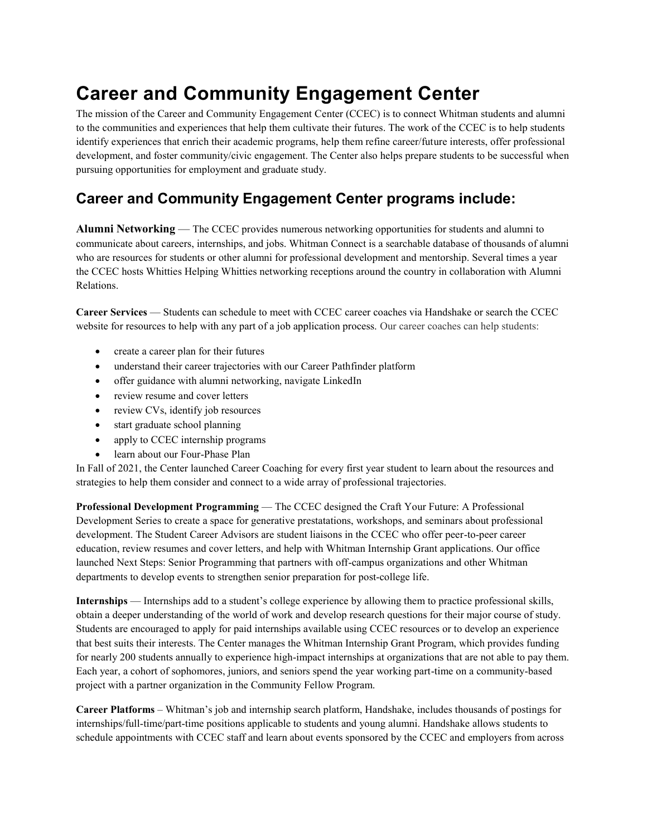## **Career and Community Engagement Center**

The mission of the Career and Community Engagement Center (CCEC) is to connect Whitman students and alumni to the communities and experiences that help them cultivate their futures. The work of the CCEC is to help students identify experiences that enrich their academic programs, help them refine career/future interests, offer professional development, and foster community/civic engagement. The Center also helps prepare students to be successful when pursuing opportunities for employment and graduate study.

## **Career and Community Engagement Center programs include:**

**Alumni Networking** — The CCEC provides numerous networking opportunities for students and alumni to communicate about careers, internships, and jobs. Whitman Connect is a searchable database of thousands of alumni who are resources for students or other alumni for professional development and mentorship. Several times a year the CCEC hosts Whitties Helping Whitties networking receptions around the country in collaboration with Alumni Relations.

**Career Services** — Students can schedule to meet with CCEC career coaches via Handshake or search the CCEC website for resources to help with any part of a job application process. Our career coaches can help students:

- create a career plan for their futures
- understand their career trajectories with our Career Pathfinder platform
- offer guidance with alumni networking, navigate LinkedIn
- review resume and cover letters
- review CVs, identify job resources
- start graduate school planning
- apply to CCEC internship programs
- learn about our Four-Phase Plan

In Fall of 2021, the Center launched Career Coaching for every first year student to learn about the resources and strategies to help them consider and connect to a wide array of professional trajectories.

**Professional Development Programming** — The CCEC designed the Craft Your Future: A Professional Development Series to create a space for generative prestatations, workshops, and seminars about professional development. The Student Career Advisors are student liaisons in the CCEC who offer peer-to-peer career education, review resumes and cover letters, and help with Whitman Internship Grant applications. Our office launched Next Steps: Senior Programming that partners with off-campus organizations and other Whitman departments to develop events to strengthen senior preparation for post-college life.

**Internships** — Internships add to a student's college experience by allowing them to practice professional skills, obtain a deeper understanding of the world of work and develop research questions for their major course of study. Students are encouraged to apply for paid internships available using CCEC resources or to develop an experience that best suits their interests. The Center manages the Whitman Internship Grant Program, which provides funding for nearly 200 students annually to experience high-impact internships at organizations that are not able to pay them. Each year, a cohort of sophomores, juniors, and seniors spend the year working part-time on a community-based project with a partner organization in the Community Fellow Program.

**Career Platforms** – Whitman's job and internship search platform, Handshake, includes thousands of postings for internships/full-time/part-time positions applicable to students and young alumni. Handshake allows students to schedule appointments with CCEC staff and learn about events sponsored by the CCEC and employers from across